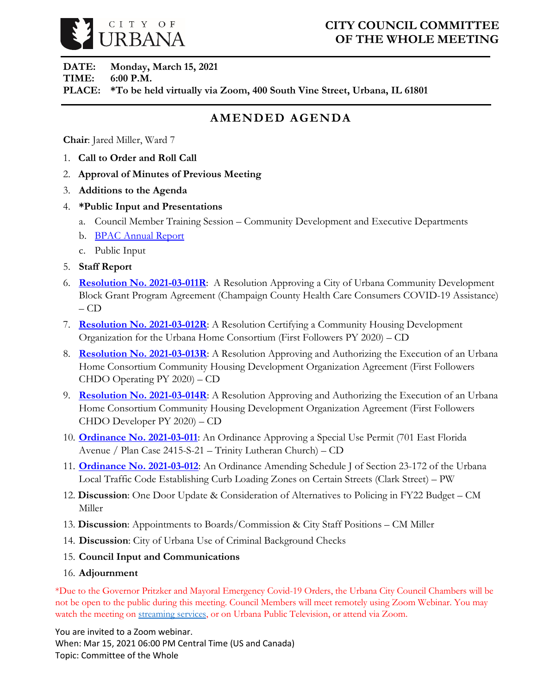

## **CITY COUNCIL COMMITTEE OF THE WHOLE MEETING**

**DATE: Monday, March 15, 2021 TIME: 6:00 P.M. PLACE: \*To be held virtually via Zoom, 400 South Vine Street, Urbana, IL 61801**

# **AMENDED AGENDA**

**Chair**: Jared Miller, Ward 7

- 1. **Call to Order and Roll Call**
- 2. **Approval of Minutes of Previous Meeting**
- 3. **Additions to the Agenda**
- 4. **\*Public Input and Presentations**
	- a. Council Member Training Session Community Development and Executive Departments
	- b. **[BPAC Annual Report](https://urbanaillinois.us/sites/default/files/attachments/BPAC_Annual_Report_2020_0.pdf)**
	- c. Public Input
- 5. **Staff Report**
- 6. **[Resolution No. 2021-03-011R](https://urbanaillinois.us/sites/default/files/attachments/Resolution_2021-03-011R.pdf)**: A Resolution Approving a City of Urbana Community Development Block Grant Program Agreement (Champaign County Health Care Consumers COVID-19 Assistance)  $-$  CD
- 7. **[Resolution No. 2021-03-012R](https://urbanaillinois.us/sites/default/files/attachments/Resolutions_2021-03-012R_2021-03-013R_2021-03-014R.pdf)**: A Resolution Certifying a Community Housing Development Organization for the Urbana Home Consortium (First Followers PY 2020) – CD
- 8. **[Resolution No. 2021-03-013R](https://urbanaillinois.us/sites/default/files/attachments/Resolutions_2021-03-012R_2021-03-013R_2021-03-014R.pdf)**: A Resolution Approving and Authorizing the Execution of an Urbana Home Consortium Community Housing Development Organization Agreement (First Followers CHDO Operating PY 2020) – CD
- 9. **[Resolution No. 2021-03-014R](https://urbanaillinois.us/sites/default/files/attachments/Resolutions_2021-03-012R_2021-03-013R_2021-03-014R.pdf)**: A Resolution Approving and Authorizing the Execution of an Urbana Home Consortium Community Housing Development Organization Agreement (First Followers CHDO Developer PY 2020) – CD
- 10. **[Ordinance No. 2021-03-011](https://urbanaillinois.us/sites/default/files/attachments/Ordinance_2021-03-011.pdf)**: An Ordinance Approving a Special Use Permit (701 East Florida Avenue / Plan Case 2415-S-21 – Trinity Lutheran Church) – CD
- 11. **[Ordinance No. 2021-03-012](https://urbanaillinois.us/sites/default/files/attachments/Ordinance_2021-03-012.pdf)**: An Ordinance Amending Schedule J of Section 23-172 of the Urbana Local Traffic Code Establishing Curb Loading Zones on Certain Streets (Clark Street) – PW
- 12. **Discussion**: One Door Update & Consideration of Alternatives to Policing in FY22 Budget CM Miller
- 13. **Discussion**: Appointments to Boards/Commission & City Staff Positions CM Miller
- 14. **Discussion**: City of Urbana Use of Criminal Background Checks
- 15. **Council Input and Communications**
- 16. **Adjournment**

\*Due to the Governor Pritzker and Mayoral Emergency Covid-19 Orders, the Urbana City Council Chambers will be not be open to the public during this meeting. Council Members will meet remotely using Zoom Webinar. You may watch the meeting o[n streaming services,](https://livestream.com/urbana) or on Urbana Public Television, or attend via Zoom.

You are invited to a Zoom webinar. When: Mar 15, 2021 06:00 PM Central Time (US and Canada) Topic: Committee of the Whole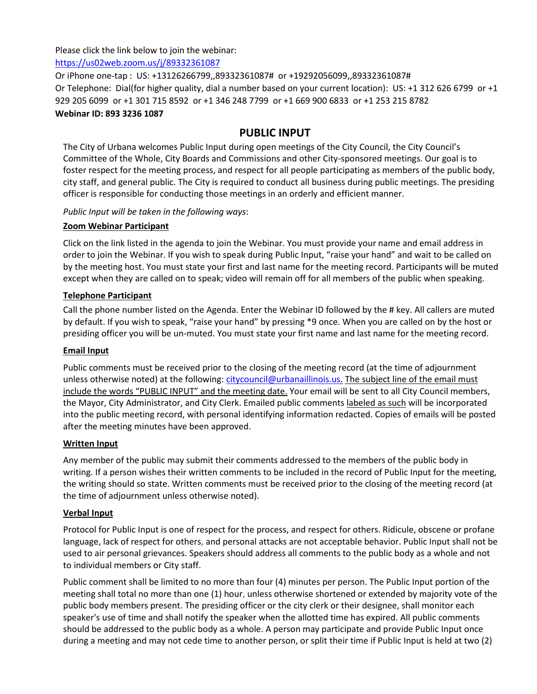Please click the link below to join the webinar:

<https://us02web.zoom.us/j/89332361087>

Or iPhone one-tap : US: +13126266799,,89332361087# or +19292056099,,89332361087# Or Telephone: Dial(for higher quality, dial a number based on your current location): US: +1 312 626 6799 or +1 929 205 6099 or +1 301 715 8592 or +1 346 248 7799 or +1 669 900 6833 or +1 253 215 8782 **Webinar ID: 893 3236 1087**

## **PUBLIC INPUT**

The City of Urbana welcomes Public Input during open meetings of the City Council, the City Council's Committee of the Whole, City Boards and Commissions and other City-sponsored meetings. Our goal is to foster respect for the meeting process, and respect for all people participating as members of the public body, city staff, and general public. The City is required to conduct all business during public meetings. The presiding officer is responsible for conducting those meetings in an orderly and efficient manner.

*Public Input will be taken in the following ways*:

### **Zoom Webinar Participant**

Click on the link listed in the agenda to join the Webinar. You must provide your name and email address in order to join the Webinar. If you wish to speak during Public Input, "raise your hand" and wait to be called on by the meeting host. You must state your first and last name for the meeting record. Participants will be muted except when they are called on to speak; video will remain off for all members of the public when speaking.

### **Telephone Participant**

Call the phone number listed on the Agenda. Enter the Webinar ID followed by the # key. All callers are muted by default. If you wish to speak, "raise your hand" by pressing \*9 once. When you are called on by the host or presiding officer you will be un-muted. You must state your first name and last name for the meeting record.

### **Email Input**

Public comments must be received prior to the closing of the meeting record (at the time of adjournment unless otherwise noted) at the following: [citycouncil@urbanaillinois.us.](mailto:citycouncil@urbanaillinois.us) The subject line of the email must include the words "PUBLIC INPUT" and the meeting date. Your email will be sent to all City Council members, the Mayor, City Administrator, and City Clerk. Emailed public comments labeled as such will be incorporated into the public meeting record, with personal identifying information redacted. Copies of emails will be posted after the meeting minutes have been approved.

### **Written Input**

Any member of the public may submit their comments addressed to the members of the public body in writing. If a person wishes their written comments to be included in the record of Public Input for the meeting, the writing should so state. Written comments must be received prior to the closing of the meeting record (at the time of adjournment unless otherwise noted).

### **Verbal Input**

Protocol for Public Input is one of respect for the process, and respect for others. Ridicule, obscene or profane language, lack of respect for others, and personal attacks are not acceptable behavior. Public Input shall not be used to air personal grievances. Speakers should address all comments to the public body as a whole and not to individual members or City staff.

Public comment shall be limited to no more than four (4) minutes per person. The Public Input portion of the meeting shall total no more than one (1) hour, unless otherwise shortened or extended by majority vote of the public body members present. The presiding officer or the city clerk or their designee, shall monitor each speaker's use of time and shall notify the speaker when the allotted time has expired. All public comments should be addressed to the public body as a whole. A person may participate and provide Public Input once during a meeting and may not cede time to another person, or split their time if Public Input is held at two (2)